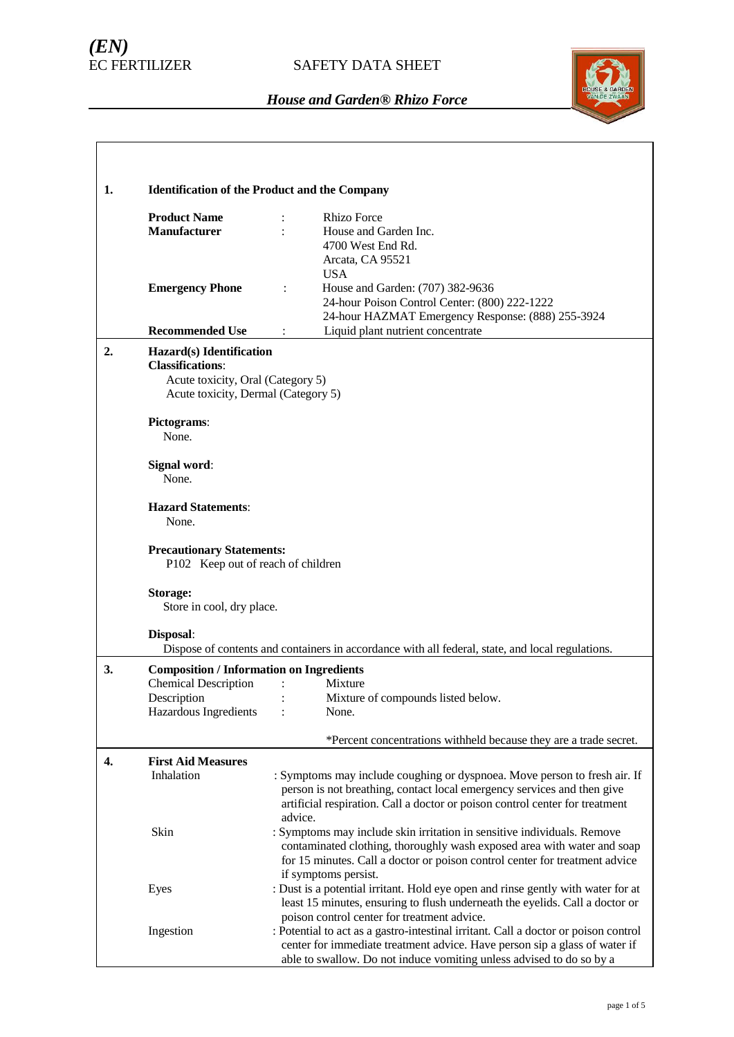# *(EN)*



| 1. | <b>Identification of the Product and the Company</b>                     |                                                                                                          |  |  |  |
|----|--------------------------------------------------------------------------|----------------------------------------------------------------------------------------------------------|--|--|--|
|    | <b>Product Name</b>                                                      | <b>Rhizo Force</b>                                                                                       |  |  |  |
|    | <b>Manufacturer</b>                                                      | House and Garden Inc.                                                                                    |  |  |  |
|    |                                                                          | 4700 West End Rd.                                                                                        |  |  |  |
|    |                                                                          | Arcata, CA 95521                                                                                         |  |  |  |
|    | <b>Emergency Phone</b>                                                   | <b>USA</b><br>House and Garden: (707) 382-9636                                                           |  |  |  |
|    |                                                                          | 24-hour Poison Control Center: (800) 222-1222                                                            |  |  |  |
|    |                                                                          | 24-hour HAZMAT Emergency Response: (888) 255-3924                                                        |  |  |  |
|    | <b>Recommended Use</b>                                                   | Liquid plant nutrient concentrate                                                                        |  |  |  |
| 2. | Hazard(s) Identification<br><b>Classifications:</b>                      |                                                                                                          |  |  |  |
|    | Acute toxicity, Oral (Category 5)<br>Acute toxicity, Dermal (Category 5) |                                                                                                          |  |  |  |
|    |                                                                          |                                                                                                          |  |  |  |
|    | Pictograms:                                                              |                                                                                                          |  |  |  |
|    | None.                                                                    |                                                                                                          |  |  |  |
|    | Signal word:                                                             |                                                                                                          |  |  |  |
|    | None.                                                                    |                                                                                                          |  |  |  |
|    | <b>Hazard Statements:</b>                                                |                                                                                                          |  |  |  |
|    | None.                                                                    |                                                                                                          |  |  |  |
|    | <b>Precautionary Statements:</b><br>P102 Keep out of reach of children   |                                                                                                          |  |  |  |
|    |                                                                          |                                                                                                          |  |  |  |
|    | Storage:<br>Store in cool, dry place.                                    |                                                                                                          |  |  |  |
|    |                                                                          |                                                                                                          |  |  |  |
|    | Disposal:                                                                |                                                                                                          |  |  |  |
|    |                                                                          | Dispose of contents and containers in accordance with all federal, state, and local regulations.         |  |  |  |
| 3. | <b>Composition / Information on Ingredients</b>                          |                                                                                                          |  |  |  |
|    | <b>Chemical Description</b>                                              | Mixture                                                                                                  |  |  |  |
|    | Description<br>Hazardous Ingredients                                     | Mixture of compounds listed below.<br>None.                                                              |  |  |  |
|    |                                                                          |                                                                                                          |  |  |  |
|    |                                                                          | *Percent concentrations withheld because they are a trade secret.                                        |  |  |  |
| 4. | <b>First Aid Measures</b>                                                |                                                                                                          |  |  |  |
|    | Inhalation                                                               | : Symptoms may include coughing or dyspnoea. Move person to fresh air. If                                |  |  |  |
|    |                                                                          | person is not breathing, contact local emergency services and then give                                  |  |  |  |
|    |                                                                          | artificial respiration. Call a doctor or poison control center for treatment<br>advice.                  |  |  |  |
|    | Skin                                                                     | : Symptoms may include skin irritation in sensitive individuals. Remove                                  |  |  |  |
|    |                                                                          | contaminated clothing, thoroughly wash exposed area with water and soap                                  |  |  |  |
|    |                                                                          | for 15 minutes. Call a doctor or poison control center for treatment advice                              |  |  |  |
|    |                                                                          | if symptoms persist.<br>: Dust is a potential irritant. Hold eye open and rinse gently with water for at |  |  |  |
|    | Eyes                                                                     | least 15 minutes, ensuring to flush underneath the eyelids. Call a doctor or                             |  |  |  |
|    |                                                                          | poison control center for treatment advice.                                                              |  |  |  |
|    | Ingestion                                                                | : Potential to act as a gastro-intestinal irritant. Call a doctor or poison control                      |  |  |  |
|    |                                                                          | center for immediate treatment advice. Have person sip a glass of water if                               |  |  |  |
|    |                                                                          | able to swallow. Do not induce vomiting unless advised to do so by a                                     |  |  |  |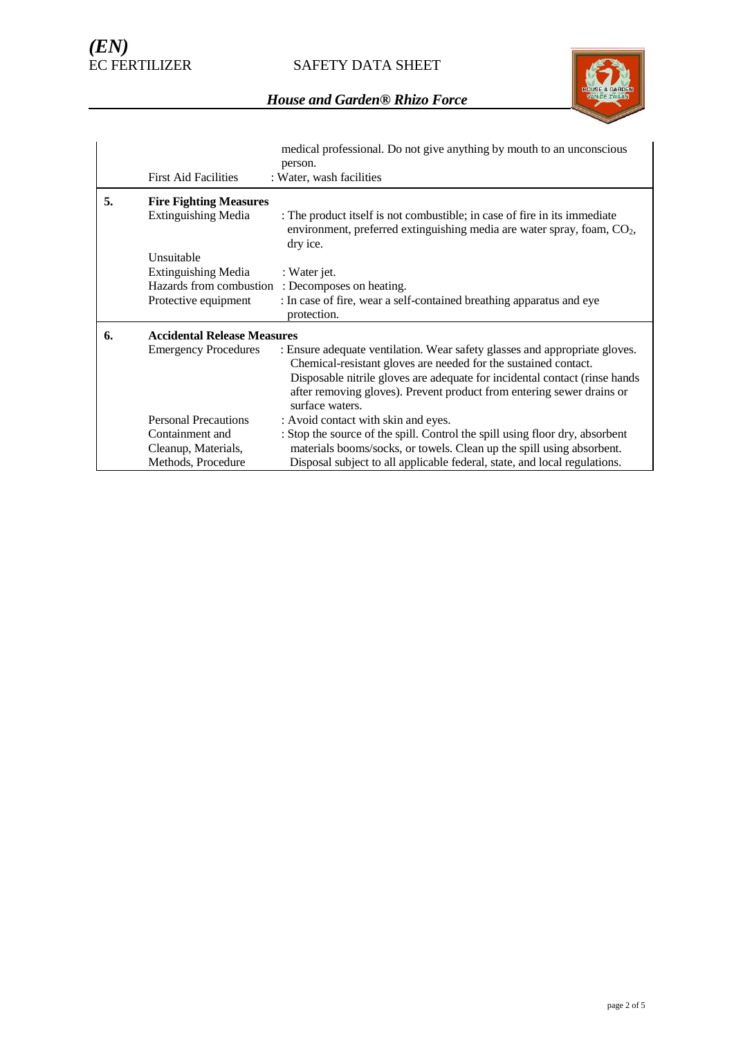SAFETY DATA SHEET



|    | <b>First Aid Facilities</b>        | medical professional. Do not give anything by mouth to an unconscious<br>person.<br>: Water, wash facilities                                                                                                                                                                                                            |  |  |
|----|------------------------------------|-------------------------------------------------------------------------------------------------------------------------------------------------------------------------------------------------------------------------------------------------------------------------------------------------------------------------|--|--|
| 5. | <b>Fire Fighting Measures</b>      |                                                                                                                                                                                                                                                                                                                         |  |  |
|    | <b>Extinguishing Media</b>         | : The product itself is not combustible; in case of fire in its immediate<br>environment, preferred extinguishing media are water spray, foam, $CO2$ ,<br>dry ice.                                                                                                                                                      |  |  |
|    | Unsuitable                         |                                                                                                                                                                                                                                                                                                                         |  |  |
|    | <b>Extinguishing Media</b>         | : Water jet.                                                                                                                                                                                                                                                                                                            |  |  |
|    | Hazards from combustion            | : Decomposes on heating.                                                                                                                                                                                                                                                                                                |  |  |
|    | Protective equipment               | : In case of fire, wear a self-contained breathing apparatus and eye<br>protection.                                                                                                                                                                                                                                     |  |  |
| 6. | <b>Accidental Release Measures</b> |                                                                                                                                                                                                                                                                                                                         |  |  |
|    | <b>Emergency Procedures</b>        | : Ensure adequate ventilation. Wear safety glasses and appropriate gloves.<br>Chemical-resistant gloves are needed for the sustained contact.<br>Disposable nitrile gloves are adequate for incidental contact (rinse hands<br>after removing gloves). Prevent product from entering sewer drains or<br>surface waters. |  |  |
|    | <b>Personal Precautions</b>        | : Avoid contact with skin and eyes.                                                                                                                                                                                                                                                                                     |  |  |
|    | Containment and                    | : Stop the source of the spill. Control the spill using floor dry, absorbent                                                                                                                                                                                                                                            |  |  |
|    | Cleanup, Materials,                | materials booms/socks, or towels. Clean up the spill using absorbent.                                                                                                                                                                                                                                                   |  |  |
|    | Methods, Procedure                 | Disposal subject to all applicable federal, state, and local regulations.                                                                                                                                                                                                                                               |  |  |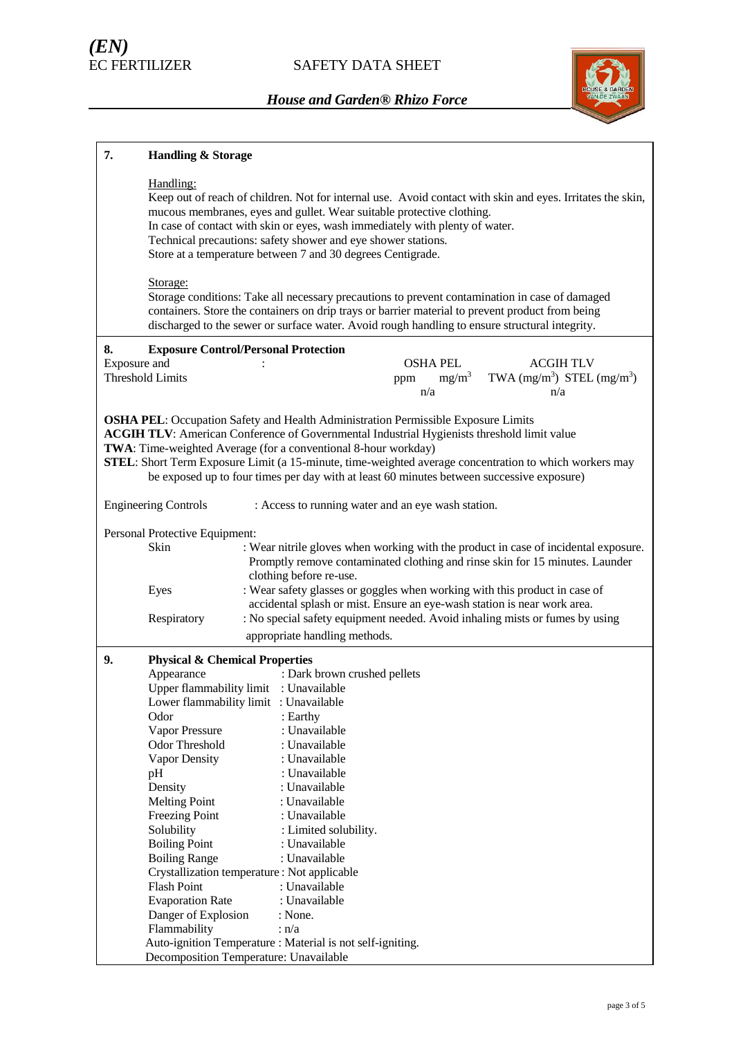

| 7.                                                                                                                                                                                                                                                                                                                                                                                                                                                                     | <b>Handling &amp; Storage</b>                                                                                                                                                                                                                                                                                                                                                                                                                                                                                       |                                                                                                                                                                                                                                                                                                                                                |                                    |                                                                                                                                                                     |
|------------------------------------------------------------------------------------------------------------------------------------------------------------------------------------------------------------------------------------------------------------------------------------------------------------------------------------------------------------------------------------------------------------------------------------------------------------------------|---------------------------------------------------------------------------------------------------------------------------------------------------------------------------------------------------------------------------------------------------------------------------------------------------------------------------------------------------------------------------------------------------------------------------------------------------------------------------------------------------------------------|------------------------------------------------------------------------------------------------------------------------------------------------------------------------------------------------------------------------------------------------------------------------------------------------------------------------------------------------|------------------------------------|---------------------------------------------------------------------------------------------------------------------------------------------------------------------|
|                                                                                                                                                                                                                                                                                                                                                                                                                                                                        | Handling:                                                                                                                                                                                                                                                                                                                                                                                                                                                                                                           | mucous membranes, eyes and gullet. Wear suitable protective clothing.<br>In case of contact with skin or eyes, wash immediately with plenty of water.<br>Technical precautions: safety shower and eye shower stations.<br>Store at a temperature between 7 and 30 degrees Centigrade.                                                          |                                    | Keep out of reach of children. Not for internal use. Avoid contact with skin and eyes. Irritates the skin,                                                          |
|                                                                                                                                                                                                                                                                                                                                                                                                                                                                        | Storage:                                                                                                                                                                                                                                                                                                                                                                                                                                                                                                            | Storage conditions: Take all necessary precautions to prevent contamination in case of damaged<br>containers. Store the containers on drip trays or barrier material to prevent product from being<br>discharged to the sewer or surface water. Avoid rough handling to ensure structural integrity.                                           |                                    |                                                                                                                                                                     |
| 8.<br>Exposure and                                                                                                                                                                                                                                                                                                                                                                                                                                                     | <b>Exposure Control/Personal Protection</b><br><b>Threshold Limits</b>                                                                                                                                                                                                                                                                                                                                                                                                                                              | ppm                                                                                                                                                                                                                                                                                                                                            | <b>OSHA PEL</b><br>$mg/m^3$<br>n/a | <b>ACGIHTLV</b><br>TWA $(mg/m^3)$ STEL $(mg/m^3)$<br>n/a                                                                                                            |
| <b>OSHA PEL:</b> Occupation Safety and Health Administration Permissible Exposure Limits<br><b>ACGIH TLV:</b> American Conference of Governmental Industrial Hygienists threshold limit value<br>TWA: Time-weighted Average (for a conventional 8-hour workday)<br>STEL: Short Term Exposure Limit (a 15-minute, time-weighted average concentration to which workers may<br>be exposed up to four times per day with at least 60 minutes between successive exposure) |                                                                                                                                                                                                                                                                                                                                                                                                                                                                                                                     |                                                                                                                                                                                                                                                                                                                                                |                                    |                                                                                                                                                                     |
|                                                                                                                                                                                                                                                                                                                                                                                                                                                                        | <b>Engineering Controls</b>                                                                                                                                                                                                                                                                                                                                                                                                                                                                                         | : Access to running water and an eye wash station.                                                                                                                                                                                                                                                                                             |                                    |                                                                                                                                                                     |
|                                                                                                                                                                                                                                                                                                                                                                                                                                                                        | Personal Protective Equipment:                                                                                                                                                                                                                                                                                                                                                                                                                                                                                      |                                                                                                                                                                                                                                                                                                                                                |                                    |                                                                                                                                                                     |
|                                                                                                                                                                                                                                                                                                                                                                                                                                                                        | Skin                                                                                                                                                                                                                                                                                                                                                                                                                                                                                                                |                                                                                                                                                                                                                                                                                                                                                |                                    | : Wear nitrile gloves when working with the product in case of incidental exposure.<br>Promptly remove contaminated clothing and rinse skin for 15 minutes. Launder |
|                                                                                                                                                                                                                                                                                                                                                                                                                                                                        | Eyes<br>Respiratory                                                                                                                                                                                                                                                                                                                                                                                                                                                                                                 | clothing before re-use.<br>: Wear safety glasses or goggles when working with this product in case of<br>accidental splash or mist. Ensure an eye-wash station is near work area.<br>: No special safety equipment needed. Avoid inhaling mists or fumes by using                                                                              |                                    |                                                                                                                                                                     |
|                                                                                                                                                                                                                                                                                                                                                                                                                                                                        |                                                                                                                                                                                                                                                                                                                                                                                                                                                                                                                     | appropriate handling methods.                                                                                                                                                                                                                                                                                                                  |                                    |                                                                                                                                                                     |
| 9.                                                                                                                                                                                                                                                                                                                                                                                                                                                                     | <b>Physical &amp; Chemical Properties</b><br>Appearance<br>Upper flammability limit : Unavailable<br>Lower flammability limit : Unavailable<br>Odor<br>Vapor Pressure<br>Odor Threshold<br>Vapor Density<br>pH<br>Density<br><b>Melting Point</b><br>Freezing Point<br>Solubility<br><b>Boiling Point</b><br><b>Boiling Range</b><br>Crystallization temperature : Not applicable<br><b>Flash Point</b><br><b>Evaporation Rate</b><br>Danger of Explosion<br>Flammability<br>Decomposition Temperature: Unavailable | : Dark brown crushed pellets<br>: Earthy<br>: Unavailable<br>: Unavailable<br>: Unavailable<br>: Unavailable<br>: Unavailable<br>: Unavailable<br>: Unavailable<br>: Limited solubility.<br>: Unavailable<br>: Unavailable<br>: Unavailable<br>: Unavailable<br>: None.<br>: n/a<br>Auto-ignition Temperature : Material is not self-igniting. |                                    |                                                                                                                                                                     |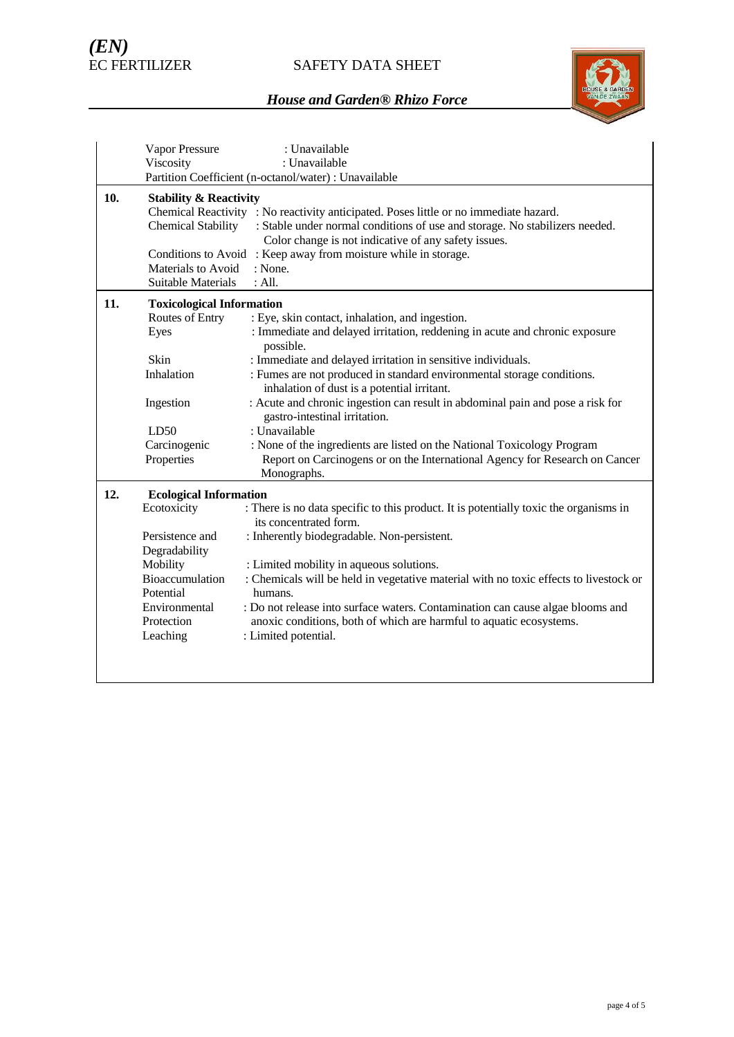## SAFETY DATA SHEET



|     | Vapor Pressure                    | : Unavailable                                                                                                   |  |  |  |
|-----|-----------------------------------|-----------------------------------------------------------------------------------------------------------------|--|--|--|
|     | Viscosity                         | : Unavailable                                                                                                   |  |  |  |
|     |                                   | Partition Coefficient (n-octanol/water) : Unavailable                                                           |  |  |  |
| 10. | <b>Stability &amp; Reactivity</b> |                                                                                                                 |  |  |  |
|     |                                   | Chemical Reactivity : No reactivity anticipated. Poses little or no immediate hazard.                           |  |  |  |
|     | <b>Chemical Stability</b>         | : Stable under normal conditions of use and storage. No stabilizers needed.                                     |  |  |  |
|     |                                   | Color change is not indicative of any safety issues.                                                            |  |  |  |
|     |                                   | Conditions to Avoid : Keep away from moisture while in storage.                                                 |  |  |  |
|     | Materials to Avoid                | : None.                                                                                                         |  |  |  |
|     | <b>Suitable Materials</b>         | : All.                                                                                                          |  |  |  |
| 11. | <b>Toxicological Information</b>  |                                                                                                                 |  |  |  |
|     | Routes of Entry                   | : Eye, skin contact, inhalation, and ingestion.                                                                 |  |  |  |
|     | Eyes                              | : Immediate and delayed irritation, reddening in acute and chronic exposure<br>possible.                        |  |  |  |
|     | Skin                              | : Immediate and delayed irritation in sensitive individuals.                                                    |  |  |  |
|     | Inhalation                        | : Fumes are not produced in standard environmental storage conditions.                                          |  |  |  |
|     |                                   | inhalation of dust is a potential irritant.                                                                     |  |  |  |
|     | Ingestion                         | : Acute and chronic ingestion can result in abdominal pain and pose a risk for<br>gastro-intestinal irritation. |  |  |  |
|     | LD50                              | : Unavailable                                                                                                   |  |  |  |
|     | Carcinogenic                      | : None of the ingredients are listed on the National Toxicology Program                                         |  |  |  |
|     | Properties                        | Report on Carcinogens or on the International Agency for Research on Cancer                                     |  |  |  |
|     |                                   | Monographs.                                                                                                     |  |  |  |
| 12. | <b>Ecological Information</b>     |                                                                                                                 |  |  |  |
|     | Ecotoxicity                       | : There is no data specific to this product. It is potentially toxic the organisms in<br>its concentrated form. |  |  |  |
|     | Persistence and                   | : Inherently biodegradable. Non-persistent.                                                                     |  |  |  |
|     | Degradability                     |                                                                                                                 |  |  |  |
|     | Mobility                          | : Limited mobility in aqueous solutions.                                                                        |  |  |  |
|     | Bioaccumulation<br>Potential      | : Chemicals will be held in vegetative material with no toxic effects to livestock or<br>humans.                |  |  |  |
|     | Environmental                     | : Do not release into surface waters. Contamination can cause algae blooms and                                  |  |  |  |
|     | Protection                        | anoxic conditions, both of which are harmful to aquatic ecosystems.                                             |  |  |  |
|     | Leaching                          | : Limited potential.                                                                                            |  |  |  |
|     |                                   |                                                                                                                 |  |  |  |
|     |                                   |                                                                                                                 |  |  |  |
|     |                                   |                                                                                                                 |  |  |  |